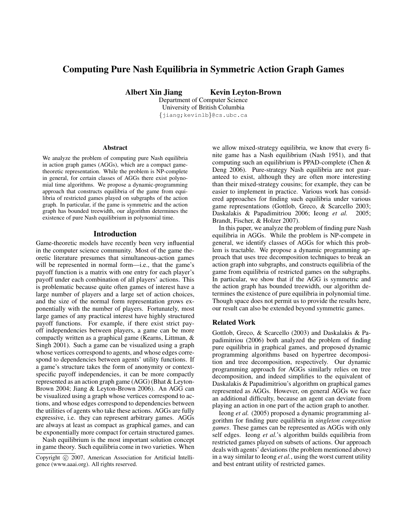# Computing Pure Nash Equilibria in Symmetric Action Graph Games

Albert Xin Jiang Kevin Leyton-Brown

Department of Computer Science University of British Columbia {jiang;kevinlb}@cs.ubc.ca

#### Abstract

We analyze the problem of computing pure Nash equilibria in action graph games (AGGs), which are a compact gametheoretic representation. While the problem is NP-complete in general, for certain classes of AGGs there exist polynomial time algorithms. We propose a dynamic-programming approach that constructs equilibria of the game from equilibria of restricted games played on subgraphs of the action graph. In particular, if the game is symmetric and the action graph has bounded treewidth, our algorithm determines the existence of pure Nash equilibrium in polynomial time.

#### Introduction

Game-theoretic models have recently been very influential in the computer science community. Most of the game theoretic literature presumes that simultaneous-action games will be represented in normal form—i.e., that the game's payoff function is a matrix with one entry for each player's payoff under each combination of all players' actions. This is problematic because quite often games of interest have a large number of players and a large set of action choices, and the size of the normal form representation grows exponentially with the number of players. Fortunately, most large games of any practical interest have highly structured payoff functions. For example, if there exist strict payoff independencies between players, a game can be more compactly written as a graphical game (Kearns, Littman, & Singh 2001). Such a game can be visualized using a graph whose vertices correspond to agents, and whose edges correspond to dependencies between agents' utility functions. If a game's structure takes the form of anonymity or contextspecific payoff independencies, it can be more compactly represented as an action graph game (AGG) (Bhat & Leyton-Brown 2004; Jiang & Leyton-Brown 2006). An AGG can be visualized using a graph whose vertices correspond to actions, and whose edges correspond to dependencies between the utilities of agents who take these actions. AGGs are fully expressive, i.e. they can represent arbitrary games. AGGs are always at least as compact as graphical games, and can be exponentially more compact for certain structured games.

Nash equilibrium is the most important solution concept in game theory. Such equilibria come in two varieties. When we allow mixed-strategy equilibria, we know that every finite game has a Nash equilibrium (Nash 1951), and that computing such an equilibrium is PPAD-complete (Chen & Deng 2006). Pure-strategy Nash equilibria are not guaranteed to exist, although they are often more interesting than their mixed-strategy cousins; for example, they can be easier to implement in practice. Various work has considered approaches for finding such equilibria under various game representations (Gottlob, Greco, & Scarcello 2003; Daskalakis & Papadimitriou 2006; Ieong *et al.* 2005; Brandt, Fischer, & Holzer 2007).

In this paper, we analyze the problem of finding pure Nash equilibria in AGGs. While the problem is NP-compete in general, we identify classes of AGGs for which this problem is tractable. We propose a dynamic programming approach that uses tree decomposition techniques to break an action graph into subgraphs, and constructs equilibria of the game from equilibria of restricted games on the subgraphs. In particular, we show that if the AGG is symmetric and the action graph has bounded treewidth, our algorithm determines the existence of pure equilibria in polynomial time. Though space does not permit us to provide the results here, our result can also be extended beyond symmetric games.

#### Related Work

Gottlob, Greco, & Scarcello (2003) and Daskalakis & Papadimitriou (2006) both analyzed the problem of finding pure equilibria in graphical games, and proposed dynamic programming algorithms based on hypertree decomposition and tree decomposition, respectively. Our dynamic programming approach for AGGs similarly relies on tree decomposition, and indeed simplifies to the equivalent of Daskalakis & Papadimitriou's algorithm on graphical games represented as AGGs. However, on general AGGs we face an additional difficulty, because an agent can deviate from playing an action in one part of the action graph to another.

Ieong *et al.* (2005) proposed a dynamic programming algorithm for finding pure equilibria in *singleton congestion games*. These games can be represented as AGGs with only self edges. Ieong *et al.*'s algorithm builds equilibria from restricted games played on subsets of actions. Our approach deals with agents' deviations (the problem mentioned above) in a way similar to Ieong *et al.*, using the worst current utility and best entrant utility of restricted games.

Copyright (c) 2007, American Association for Artificial Intelligence (www.aaai.org). All rights reserved.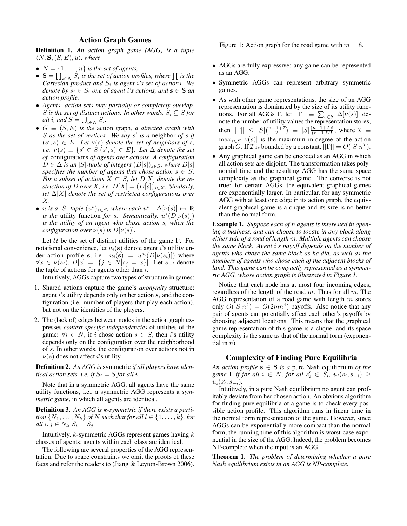# Action Graph Games

Definition 1. *An action graph game (AGG) is a tuple*  $\langle N, S, (S, E), u \rangle$ *, where* 

- $N = \{1, \ldots, n\}$  *is the set of agents,*
- $S = \prod_{i \in N} S_i$  is the set of action profiles, where  $\prod$  is the Cartesian product and  $S_i$  is agent *i*'s set of actions. We *denote by*  $s_i \in S_i$  *one of agent i's actions, and*  $s \in S$  *an action profile.*
- *Agents' action sets may partially or completely overlap.* S is the set of distinct actions. In other words,  $S_i \subseteq S$  for *all i*, and  $S = \bigcup_{i \in N} S_i$ .
- $G \equiv (S, E)$  *is the action graph, a directed graph with* S *as the set of vertices. We say* s 0 *is a* neighbor *of* s *if*  $(s', s) \in E$ *. Let*  $\nu(s)$  *denote the set of neighbors of s, i.e.*  $\nu(s) \equiv \{s' \in S | (s', s) \in E\}$ . Let  $\Delta$  *denote the set of* configurations *of agents over actions. A configuration*  $D ∈ \Delta$  *is an* |S|-tuple of integers  $(D[s])_{s \in S}$ *, where*  $D[s]$ *specifies the number of agents that chose action*  $s \in S$ *. For a subset of actions*  $X \subset S$ *, let*  $D[X]$  *denote the restriction of* D *over* X, *i.e.*  $D[X] = (D[s])_{s \in X}$ *. Similarly, let* ∆[X] *denote the set of restricted configurations over* X*.*
- *u* is a |S|-tuple  $(u^s)_{s \in S}$ , where each  $u^s : \Delta[\nu(s)] \mapsto \mathbb{R}$ *is the utility function for s. Semantically,*  $u^{s}(D[\nu(s)])$ *is the utility of an agent who chose action* s*, when the configuration over*  $\nu(s)$  *is*  $D[\nu(s)]$ *.*

Let  $U$  be the set of distinct utilities of the game Γ. For notational convenience, let  $u_i(\mathbf{s})$  denote agent *i*'s utility under action profile s, i.e.  $u_i(\mathbf{s}) = u^{s_i}(D[\nu(s_i)])$  where  $\forall x \in \nu(s_i)$ ,  $D[x] = |\{j \in N | s_j = x\}|$ . Let  $s_{-i}$  denote the tuple of actions for agents other than  $i$ .

Intuitively, AGGs capture two types of structure in games:

- 1. Shared actions capture the game's *anonymity* structure: agent i's utility depends only on her action  $s_i$  and the configuration (i.e. number of players that play each action), but not on the identities of the players.
- 2. The (lack of) edges between nodes in the action graph expresses *context-specific independencies* of utilities of the game:  $\forall i \in N$ , if i chose action  $s \in S$ , then i's utility depends only on the configuration over the neighborhood of s. In other words, the configuration over actions not in  $\nu(s)$  does not affect *i*'s utility.

Definition 2. *An AGG is* symmetric *if all players have identical action sets, i.e. if*  $S_i = S$  *for all i.* 

Note that in a symmetric AGG, all agents have the same utility functions, i.e., a symmetric AGG represents a *symmetric game*, in which all agents are identical.

Definition 3. *An AGG is* k*-symmetric if there exists a partition*  $\{N_1, \ldots, N_k\}$  *of* N *such that for all*  $l \in \{1, \ldots, k\}$ *, for*  $all \ i, j \in N_l, S_i = S_j.$ 

Intuitively,  $k$ -symmetric AGGs represent games having  $k$ classes of agents; agents within each class are identical.

The following are several properties of the AGG representation. Due to space constraints we omit the proofs of these facts and refer the readers to (Jiang & Leyton-Brown 2006).

Figure 1: Action graph for the road game with  $m = 8$ .

- AGGs are fully expressive: any game can be represented as an AGG.
- Symmetric AGGs can represent arbitrary symmetric games.
- As with other game representations, the size of an AGG representation is dominated by the size of its utility functions. For all AGGs  $\Gamma$ , let  $||\Gamma|| \equiv \sum_{s \in S} |\Delta|\nu(s)|$  denote the number of utility values the representation stores, then  $||\Gamma|| \leq |S| \binom{n-1+Z}{\mathcal{I}} \equiv |S| \frac{(n-1+Z)!}{(n-1)! \mathcal{I}!}$  $\frac{(n-1+L)!}{(n-1)!}$ , where  $\mathcal{I} \equiv$  $\max_{s \in S} |\nu(s)|$  is the maximum in-degree of the action graph G. If  $\mathcal{I}$  is bounded by a constant,  $||\Gamma|| = O(|S|n^{\mathcal{I}})$ .
- Any graphical game can be encoded as an AGG in which all action sets are disjoint. The transformation takes polynomial time and the resulting AGG has the same space complexity as the graphical game. The converse is not true: for certain AGGs, the equivalent graphical games are exponentially larger. In particular, for any symmetric AGG with at least one edge in its action graph, the equivalent graphical game is a clique and its size is no better than the normal form.

Example 1. *Suppose each of* n *agents is interested in opening a business, and can choose to locate in any block along either side of a road of length* m*. Multiple agents can choose the same block. Agent* i*'s payoff depends on the number of agents who chose the same block as he did, as well as the numbers of agents who chose each of the adjacent blocks of land. This game can be compactly represented as a symmetric AGG, whose action graph is illustrated in Figure 1.*

Notice that each node has at most four incoming edges, regardless of the length of the road  $m$ . Thus for all  $m$ , The AGG representation of a road game with length  $m$  stores only  $O(|S|n^4) = O(2mn^4)$  payoffs. Also notice that any pair of agents can potentially affect each other's payoffs by choosing adjacent locations. This means that the graphical game representation of this game is a clique, and its space complexity is the same as that of the normal form (exponential in  $n$ ).

#### Complexity of Finding Pure Equilibria

*An action profile*  $s \in S$  *is a* pure Nash equilibrium *of the*  $\mathit{game} \; \Gamma \; \mathit{if} \; \mathit{for} \; \mathit{all} \; \mathit{i} \; \in \; N, \; \mathit{for} \; \mathit{all} \; \mathit{s}'_i \; \in \; \mathit{S}_i, \; \mathit{u}_i(s_i, s_{-i}) \; \geq$  $u_i(s'_i, s_{-i}).$ 

Intuitively, in a pure Nash equilibrium no agent can profitably deviate from her chosen action. An obvious algorithm for finding pure equilibria of a game is to check every possible action profile. This algorithm runs in linear time in the normal form representation of the game. However, since AGGs can be exponentially more compact than the normal form, the running time of this algorithm is worst-case exponential in the size of the AGG. Indeed, the problem becomes NP-complete when the input is an AGG.

Theorem 1. *The problem of determining whether a pure Nash equilibrium exists in an AGG is NP-complete.*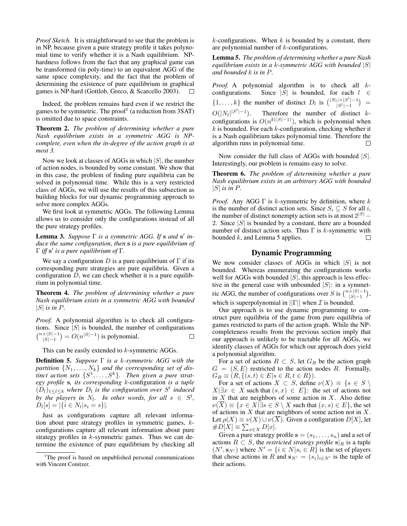*Proof Sketch.* It is straightforward to see that the problem is in NP, because given a pure strategy profile it takes polynomial time to verify whether it is a Nash equilibrium. NPhardness follows from the fact that any graphical game can be transformed (in poly-time) to an equivalent AGG of the same space complexity, and the fact that the problem of determining the existence of pure equilibrium in graphical games is NP-hard (Gottlob, Greco, & Scarcello 2003).  $\Box$ 

Indeed, the problem remains hard even if we restrict the games to be symmetric. The proof<sup>1</sup> (a reduction from 3SAT) is omitted due to space constraints.

Theorem 2. *The problem of determining whether a pure Nash equilibrium exists in a symmetric AGG is NPcomplete, even when the in-degree of the action graph is at most 3.*

Now we look at classes of AGGs in which  $|S|$ , the number of action nodes, is bounded by some constant. We show that in this case, the problem of finding pure equilibria can be solved in polynomial time. While this is a very restricted class of AGGs, we will use the results of this subsection as building blocks for our dynamic programming approach to solve more complex AGGs.

We first look at symmetric AGGs. The following Lemma allows us to consider only the configurations instead of all the pure strategy profiles.

Lemma 3. *Suppose* Γ *is a symmetric AGG. If* s *and* s 0 *induce the same configuration, then* s *is a pure equilibrium of* Γ *iff* s 0 *is a pure equilibrium of* Γ*.*

We say a configuration D is a pure equilibrium of  $\Gamma$  if its corresponding pure strategies are pure equilibria. Given a configuration  $D$ , we can check whether it is a pure equilibrium in polynomial time.

Theorem 4. *The problem of determining whether a pure Nash equilibrium exists in a symmetric AGG with bounded*  $|S|$  *is in P.* 

*Proof.* A polynomial algorithm is to check all configurations. Since  $|S|$  is bounded, the number of configurations  $\binom{n+|S|-1}{|S|-1} = O(n^{|S|-1})$  is polynomial.  $\Box$ 

This can be easily extended to k-symmetric AGGs.

Definition 5. *Suppose* Γ *is a* k*-symmetric AGG with the* partition  $\{N_1, \ldots, N_k\}$  and the corresponding set of dis*tinct action sets*  $\{S^1, \ldots, S^k\}$ . Then given a pure strat*egy profile* s*, its corresponding* k-configuration *is a tuple*  $(D_l)_{1 \leq l \leq k}$  where  $D_l$  is the configuration over  $S^l$  induced *by the players in*  $N_l$ . In other words, for all  $s \in S^l$ ,  $D_l[s] = |\{i \in N_l | s_i = s\}|.$ 

Just as configurations capture all relevant information about pure strategy profiles in symmetric games, kconfigurations capture all relevant information about pure strategy profiles in  $k$ -symmetric games. Thus we can determine the existence of pure equilibrium by checking all  $k$ -configurations. When  $k$  is bounded by a constant, there are polynomial number of  $k$ -configurations.

Lemma 5. *The problem of determining whether a pure Nash equilibrium exists in a* k*-symmetric AGG with bounded* |S| *and bounded* k *is in* P*.*

*Proof.* A polynomial algorithm is to check all  $k$ configurations. Since |S| is bounded, for each  $l \in$  $\{1,\ldots,k\}$  the number of distinct  $D_l$  is  $\binom{|N_l|+|S^l|-1}{|S^l|-1}$  $|S^{l}|$ -1 $|S^{l}$  =  $|S^{l}$  $O(|N_l|^{|S^l|-1})$ Therefore the number of distinct  $k$ configurations is  $O(n^{k(|S|-1)})$ , which is polynomial when  $k$  is bounded. For each  $k$ -configuration, checking whether it is a Nash equilibrium takes polynomial time. Therefore the algorithm runs in polynomial time.  $\Box$ 

Now consider the full class of AGGs with bounded  $|S|$ . Interestingly, our problem is remains easy to solve.

Theorem 6. *The problem of determining whether a pure Nash equilibrium exists in an arbitrary AGG with bounded*  $|S|$  *is in P.* 

*Proof.* Any AGG  $\Gamma$  is k-symmetric by definition, where k is the number of distinct action sets. Since  $S_i \subseteq S$  for all i, the number of distinct nonempty action sets is at most  $2^{|S|}$  – 2. Since  $|S|$  is bounded by a constant, there are a bounded number of distinct action sets. Thus  $\Gamma$  is k-symmetric with bounded  $k$ , and Lemma 5 applies.  $\Box$ 

## Dynamic Programming

We now consider classes of AGGs in which  $|S|$  is not bounded. Whereas enumerating the configurations works well for AGGs with bounded  $|S|$ , this approach is less effective in the general case with unbounded  $|S|$ : in a symmetric AGG, the number of configurations over S is  $\binom{n+|S|-1}{|S|-1}$ , which is superpolynomial in  $||\Gamma||$  when  $\mathcal I$  is bounded.

Our approach is to use dynamic programming to construct pure equilibria of the game from pure equilibria of games restricted to parts of the action graph. While the NPcompleteness results from the previous section imply that our approach is unlikely to be tractable for all AGGs, we identify classes of AGGs for which our approach does yield a polynomial algorithm.

For a set of actions  $R \subset S$ , let  $G_R$  be the action graph  $G = (S, E)$  restricted to the action nodes R. Formally,  $G_R \equiv (R, \{ (s, t) \in E | s \in R, t \in R \}).$ 

For a set of actions  $X \subset S$ , define  $\nu(X) \equiv \{s \in S \setminus \}$  $X|\exists x \in X$  such that  $(s, x) \in E$ : the set of actions not in  $X$  that are neighbors of some action in  $X$ . Also define  $\nu(\overline{X}) \equiv \{x \in X | \exists s \in S \setminus X \text{ such that } (x, s) \in E\},\$ of actions in  $X$  that are neighbors of some action not in  $X$ . Let  $\rho(X) \equiv \nu(X) \cup \nu(X)$ . Given a configuration  $D[X]$ , let  $\#D[X] \equiv \sum_{x \in X} D[x].$ 

Given a pure strategy profile  $s = (s_1, \ldots, s_n)$  and a set of actions  $R \subset S$ , the *restricted strategy profile*  $\mathbf{s}|_R$  is a tuple  $(N', \mathbf{s}_{N'})$  where  $N' = \{i \in N | s_i \in R\}$  is the set of players that chose actions in R and  $s_{N'} = (s_i)_{i \in N'}$  is the tuple of their actions.

<sup>&</sup>lt;sup>1</sup>The proof is based on unpublished personal communications with Vincent Conitzer.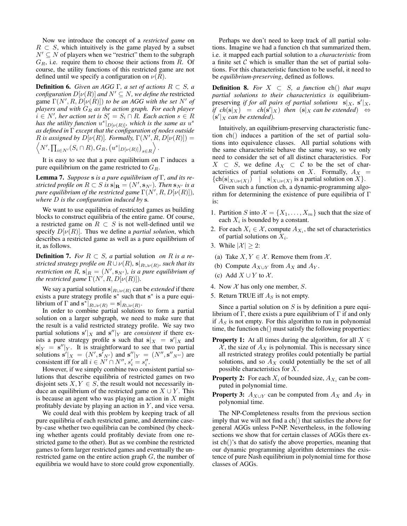Now we introduce the concept of a *restricted game* on  $R \subset S$ , which intuitively is the game played by a subset  $N' \subseteq N$  of players when we "restrict" them to the subgraph  $G_R$ , i.e. require them to choose their actions from R. Of course, the utility functions of this restricted game are not defined until we specify a configuration on  $\nu(R)$ .

**Definition 6.** *Given an AGG* Γ, *a set of actions*  $R \subset S$ *, a configuration*  $D[\nu(R)]$  *and*  $N' \subseteq N$ *, we define the* restricted game  $\Gamma(N', R, D[\nu(\hat{R})])$  *to be an AGG with the set* N' *of players and with* G<sup>R</sup> *as the action graph. For each player*  $i \in N'$ , her action set is  $S_i' = S_i \cap R$ *. Each action*  $s \in R$ *has the utility function*  $u^s|_{D[\nu(R)]}$ *, which is the same as*  $u^s$ *as defined in* Γ *except that the configuration of nodes outside* R is assigned by  $D[\nu(R)]$ . Formally,  $\Gamma(N', R, D[\nu(R)]) =$  $\left\langle N', \prod_{i \in N'} (S_i \cap R), G_R, (u^s|_{D[\nu(R)]})_{s \in R} \right\rangle$ .

It is easy to see that a pure equilibrium on  $\Gamma$  induces a pure equilibrium on the game restricted to  $G_R$ .

Lemma 7. *Suppose* s *is a pure equilibrium of* Γ*, and its restricted profile on*  $R \subset S$  *is*  $\mathbf{s} | \mathbf{R} = (N', \mathbf{s}_{N'})$ *. Then*  $\mathbf{s}_{N'}$  *is a pure equilibrium of the restricted game*  $\Gamma(N',R,D[\nu(R)])$ *, where* D *is the configuration induced by* s*.*

We want to use equilibria of restricted games as building blocks to construct equilibria of the entire game. Of course, a restricted game on  $R \subset S$  is not well-defined until we specify  $D[\nu(R)]$ . Thus we define a *partial solution*, which describes a restricted game as well as a pure equilibrium of it, as follows.

**Definition 7.** *For*  $R \subset S$ , *a* partial solution *on*  $R$  *is a re*stricted strategy profile on  $R\cup \nu(R)$ ,  $\mathbf{s}|_{R\cup \nu(R)}$ , such that its *restriction on*  $R$ ,  $\mathbf{s}|_R = (N', \mathbf{s}_{N'})$ , *is a pure equilibrium of the restricted game*  $\Gamma(N', R, D[\nu(R)])$ *.* 

We say a partial solution  $s|_{R\cup \nu(R)}$  can be *extended* if there exists a pure strategy profile  $s^*$  such that  $s^*$  is a pure equilibrium of  $\Gamma$  and  $\mathbf{s}^*|_{R\cup\nu(R)} = \mathbf{s}|_{R\cup\nu(R)}$ .

In order to combine partial solutions to form a partial solution on a larger subgraph, we need to make sure that the result is a valid restricted strategy profile. We say two partial solutions  $s'|_X$  and  $s''|_Y$  are *consistent* if there exists a pure strategy profile s such that  $s|_X = s'|_X$  and  $s|_Y = s''|_Y$ . It is straightforward to see that two partial solutions  $\mathbf{s}'|_{X} = (N', \mathbf{s}'_{N'})$  and  $\mathbf{s}''|_{Y} = (N'', \mathbf{s}''_{N''})$  are consistent iff for all  $i \in N' \cap N''$ ,  $s_i' = s_i''$ .

However, if we simply combine two consistent partial solutions that describe equilibria of restricted games on two disjoint sets  $X, Y \in S$ , the result would not necessarily induce an equilibrium of the restricted game on  $X \cup Y$ . This is because an agent who was playing an action in  $X$  might profitably deviate by playing an action in  $Y$ , and vice versa.

We could deal with this problem by keeping track of all pure equilibria of each restricted game, and determine caseby-case whether two equilibria can be combined (by checking whether agents could profitably deviate from one restricted game to the other). But as we combine the restricted games to form larger restricted games and eventually the unrestricted game on the entire action graph  $G$ , the number of equilibria we would have to store could grow exponentially.

Perhaps we don't need to keep track of all partial solutions. Imagine we had a function ch that summarized them, i.e. it mapped each partial solution to a *characteristic* from a finite set  $C$  which is smaller than the set of partial solutions. For this characteristic function to be useful, it need to be *equilibrium-preserving*, defined as follows.

**Definition 8.** *For*  $X \subset S$ , a function ch() *that maps partial solutions to their characteristics is* equilibriumpreserving *if for all pairs of partial solutions*  $\mathbf{s}|_X$ ,  $\mathbf{s}'|_X$ ,  $\hat{f}$  *ch*(s|x) = *ch*(s<sup>'</sup>|x) *then* (s|x *can be extended*)  $\Leftrightarrow$  $(s'|_X \text{ can be extended}).$ 

Intuitively, an equilibrium-preserving characteristic function ch() induces a partition of the set of partial solutions into equivalence classes. All partial solutions with the same characteristic behave the same way, so we only need to consider the set of all distinct characteristics. For  $X \subset S$ , we define  $A_X \subset C$  to be the set of characteristics of partial solutions on X. Formally,  $A_X$  =  ${\rm \{ch(s|_{X\cup \nu(X)}) \quad | \quad s|_{X\cup \nu(X)} \text{ is a partial solution on } X\}}.$ 

Given such a function ch, a dynamic-programming algorithm for determining the existence of pure equilibria of  $\Gamma$ is:

- 1. Partition S into  $\mathcal{X} = \{X_1, \ldots, X_m\}$  such that the size of each  $X_i$  is bounded by a constant.
- 2. For each  $X_i \in \mathcal{X}$ , compute  $A_{X_i}$ , the set of characteristics of partial solutions on  $X_i$ .
- 3. While  $|\mathcal{X}| \geq 2$ :
- (a) Take  $X, Y \in \mathcal{X}$ . Remove them from  $\mathcal{X}$ .
- (b) Compute  $A_{X\cup Y}$  from  $A_X$  and  $A_Y$ .
- (c) Add  $X \cup Y$  to X.
- 4. Now  $X$  has only one member,  $S$ .
- 5. Return TRUE iff  $A<sub>S</sub>$  is not empty.

Since a partial solution on  $S$  is by definition a pure equilibrium of Γ, there exists a pure equilibrium of Γ if and only if  $A<sub>S</sub>$  is not empty. For this algorithm to run in polynomial time, the function ch() must satisfy the following properties:

- **Property 1:** At all times during the algorithm, for all  $X \in$  $X$ , the size of  $A_X$  is polynomial. This is necessary since all restricted strategy profiles could potentially be partial solutions, and so  $A_X$  could potentially be the set of all possible characteristics for X.
- **Property 2:** For each  $X_i$  of bounded size,  $A_{X_i}$  can be computed in polynomial time.
- **Property 3:**  $A_{X\cup Y}$  can be computed from  $A_X$  and  $A_Y$  in polynomial time.

The NP-Completeness results from the previous section imply that we will not find a ch() that satisfies the above for general AGGs unless P=NP. Nevertheless, in the following sections we show that for certain classes of AGGs there exist ch()'s that do satisfy the above properties, meaning that our dynamic programming algorithm determines the existence of pure Nash equilibrium in polynomial time for those classes of AGGs.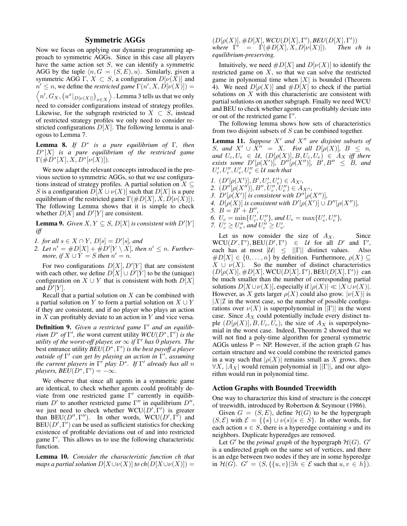# Symmetric AGGs

Now we focus on applying our dynamic programming approach to symmetric AGGs. Since in this case all players have the same action set S, we can identify a symmetric AGG by the tuple  $\langle n, G = (S, E), u \rangle$ . Similarly, given a symmetric AGG Γ,  $X \subset S$ , a configuration  $D[\nu(X)]$  and  $n' \leq n$ , we define the *restricted game*  $\Gamma(n', X, D[\nu(X)])$  =  $\left\langle n',G_{X},\left( u^{x}|_{D[\nu(X)]}\right) _{x\in X}\right\rangle$  . Lemma 3 tells us that we only need to consider configurations instead of strategy profiles. Likewise, for the subgraph restricted to  $X \subset S$ , instead of restricted strategy profiles we only need to consider restricted configurations  $D[X]$ . The following lemma is analogous to Lemma 7.

Lemma 8. *If* D<sup>∗</sup> *is a pure equilibrium of* Γ*, then* D<sup>∗</sup> [X] *is a pure equilibrium of the restricted game*  $\Gamma(\#D^*[X], X, D^*[ \nu(X)] ).$ 

We now adapt the relevant concepts introduced in the previous section to symmetric AGGs, so that we use configurations instead of strategy profiles. A partial solution on  $X \subseteq$ S is a configuration  $D[X \cup \nu(X)]$  such that  $D[X]$  is a pure equilibrium of the restricted game  $\Gamma(\#D[X], X, D[\nu(X)]).$ The following Lemma shows that it is simple to check whether  $D[X]$  and  $D'[Y]$  are consistent.

**Lemma 9.** *Given*  $X, Y \subseteq S$ ,  $D[X]$  *is consistent with*  $D'[Y]$ *iff*

*1. for all*  $s \in X \cap Y$ ,  $D[s] = D'[s]$ , and

2. Let  $n' = \#D[X] + \#D'[Y \setminus X]$ , then  $n' \leq n$ . Further*more, if*  $X \cup Y = S$  *then*  $n' = n$ *.* 

For two configurations  $D[X], D'[Y]$  that are consistent with each other, we define  $D[X] \cup D'[Y]$  to be the (unique) configuration on  $X \cup Y$  that is consistent with both  $D[X]$ and  $\overline{D}^{\prime}[Y]$ .

Recall that a partial solution on  $X$  can be combined with a partial solution on Y to form a partial solution on  $X \cup Y$ if they are consistent, and if no player who plays an action in  $X$  can profitably deviate to an action in  $Y$  and vice versa.

Definition 9. *Given a restricted game* Γ' *and an equilibrium*  $D^*$  *of*  $\Gamma'$ *, the* worst current utility  $WCU(D^*, \Gamma')$  *is the utility of the worst-off player, or* ∞ *if* Γ <sup>0</sup> *has 0 players. The* best entrance utility *BEU*(D<sup>∗</sup> , Γ 0 ) *is the best payoff a player cutside of* Γ' can get by playing an action in Γ', assuming *the current players in*  $\Gamma'$  *play*  $D^*$ *. If*  $\Gamma'$  *already has all n*  $plays, BEU(D^*, \Gamma') = -\infty.$ 

We observe that since all agents in a symmetric game are identical, to check whether agents could profitably deviate from one restricted game Γ' currently in equilibrium  $D'$  to another restricted game  $\Gamma''$  in equilibrium  $D''$ , we just need to check whether  $WCU(D', \Gamma')$  is greater than BEU( $D''$ ,  $\Gamma''$ ). In other words,  $\text{WCU}(D', \Gamma')$  and  $BEU(D', \Gamma')$  can be used as sufficient statistics for checking existence of profitable deviations out of and into restricted game  $\Gamma'$ . This allows us to use the following characteristic function.

Lemma 10. *Consider the characteristic function ch that maps a partial solution*  $D[X\cup \nu(X)]$  *to ch*( $D[X\cup \nu(X)]$ ) =

 $(D[\rho(X)], \#D[X], WCU(D[X], \Gamma'), BEU(D[X], \Gamma'))$ where  $\Gamma' = \Gamma(\#D[X], X, D[\nu(X)])$ *. Then ch is equilibrium-preserving.*

Intuitively, we need  $#D[X]$  and  $D[\nu(X)]$  to identify the restricted game on  $X$ , so that we can solve the restricted game in polynomial time when  $|X|$  is bounded (Theorem 4). We need  $D[\rho(X)]$  and  $\#D[X]$  to check if the partial solutions on  $X$  with this characteristic are consistent with partial solutions on another subgraph. Finally we need WCU and BEU to check whether agents can profitably deviate into or out of the restricted game  $\Gamma'$ .

The following lemma shows how sets of characteristics from two disjoint subsets of S can be combined together.

**Lemma 11.** Suppose  $X'$  and  $X''$  are disjoint subsets of *S, and*  $X' \cup X'' = X$ *. For all*  $D[\rho(X)]$ *,*  $B \leq n$ *, and*  $U_c, U_e \in \mathcal{U}$ ,  $(D[\rho(X)], B, U_c, U_e) \in A_X$  *iff there exists some*  $D'[\rho(X')]$ ,  $D''[\rho(X'')]$ ,  $B', B'' \leq B$ , and  $U'_c, U''_c, U''_e, U''_e \in \mathcal{U}$  such that

- *1.*  $(D'[\rho(X')], B', U'_{c}, U'_{e}) \in A_{X'}$ ,
- 2.  $(D''[\rho(X'')]$ ,  $B'', \check{U}''_c, \check{U}''_e) \in A_{X''},$
- *3.*  $D'[\rho(X')]$  *is consistent with*  $D''[\rho(X'')]$ *,*
- *4.*  $D[\rho(X)]$  *is consistent with*  $D'[\rho(X')] \cup D''[\rho(X'')],$
- *5.*  $B = B' + B''$ ,
- 6.  $U_c = \min\{U'_c, U''_c\}$ , and  $U_e = \max\{U'_e, U''_e\}$ ,

7. 
$$
U_c' \geq U_e''
$$
, and  $U_c'' \geq U_e'$ .

Let us now consider the size of  $A_X$ . Since  $WCU(D', \Gamma'), BEU(D', \Gamma') \in \mathcal{U}$  for all D' and  $\Gamma'$ , each has at most  $|U| \leq ||\Gamma||$  distinct values. Also  $\#D[X] \in \{0, \ldots, n\}$  by definition. Furthermore,  $\rho(X) \subseteq$  $X \cup \nu(X)$ . So the number of distinct characteristics  $(D[\rho(X)], \#D[X], \text{WCU}(D[X], \Gamma'), \text{BEU}(D[X], \Gamma'))$  can be much smaller than the number of corresponding partial solutions  $D[X \cup \nu(X)]$ , especially if  $|\rho(X)| \ll |X \cup \nu(X)|$ . However, as X gets larger  $\rho(X)$  could also grow.  $|\nu(X)|$  is  $|X|\mathcal{I}$  in the worst case, so the number of possible configurations over  $\nu(X)$  is superpolynomial in  $||\Gamma||$  in the worst case. Since  $A_X$  could potentially include every distinct tuple  $(D[\rho(X)], B, U_c, U_e)$ , the size of  $A_X$  is superpolynomial in the worst case. Indeed, Theorem 2 showed that we will not find a poly-time algorithm for general symmetric AGGs unless  $P = NP$ . However, if the action graph G has certain structure and we could combine the restricted games in a way such that  $|\rho(X)|$  remains small as X grows, then  $\forall X, |A_X|$  would remain polynomial in  $||\Gamma||$ , and our algorithm would run in polynomial time.

#### Action Graphs with Bounded Treewidth

One way to characterize this kind of structure is the concept of treewidth, introduced by Robertson & Seymour (1986).

Given  $G = (S, E)$ , define  $\mathcal{H}(G)$  to be the hypergraph  $(S, \mathcal{E})$  with  $\mathcal{E} = \{\{s\} \cup \nu(s) | s \in S\}$ . In other words, for each action  $s \in S$ , there is a hyperedge containing s and its neighbors. Duplicate hyperedges are removed.

Let  $G'$  be the *primal graph* of the hypergraph  $\mathcal{H}(G)$ .  $G'$ is a undirected graph on the same set of vertices, and there is an edge between two nodes if they are in some hyperedge in  $\mathcal{H}(G)$ .  $G' = (S, \{\{u, v\} | \exists h \in \mathcal{E} \text{ such that } u, v \in h\}).$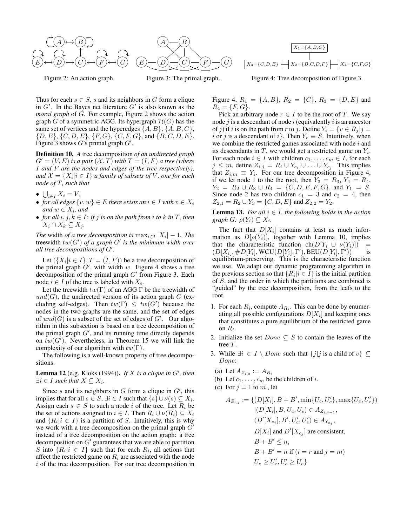



Figure 2: An action graph.

Figure 3: The primal graph.



Figure 4: Tree decomposition of Figure 3.

Thus for each  $s \in S$ , s and its neighbors in G form a clique in  $G'$ . In the Bayes net literature  $G'$  is also known as the *moral graph* of G. For example, Figure 2 shows the action graph G of a symmetric AGG. Its hypergraph  $H(G)$  has the same set of vertices and the hyperedges  $\{A, B\}, \{A, B, C\},\$  $\{D, E\}, \{C, D, E\}, \{F, G\}, \{C, F, G\}, \text{and } \{B, C, D, E\}.$ Figure 3 shows  $G$ 's primal graph  $G'$ .

Definition 10. *A* tree decomposition *of an undirected graph*  $G' = (V, E)$  *is a pair*  $(\mathcal{X}, T)$  *with*  $T = (I, F)$  *a tree (where* I *and* F *are the nodes and edges of the tree respectively),* and  $\mathcal{X} = \{X_i | i \in I\}$  a family of subsets of  $V$ , one for each *node of* T*, such that*

- $\bigcup_{i\in I} X_i = V,$
- *for all edges*  $\{v, w\} \in E$  *there exists an*  $i \in I$  *with*  $v \in X_i$  $and w \in X_i$ *, and*
- *for all*  $i, j, k \in I$ *: if*  $j$  *is on the path from*  $i$  *to*  $k$  *in*  $T$ *, then*  $X_i \cap X_k \subseteq X_j$ .

*The* width *of a tree decomposition is*  $\max_{i \in I} |X_i| - 1$ *. The* treewidth  $tw(G')$  of a graph  $G'$  is the minimum width over *all tree decompositions of*  $G'$ *.* 

Let  $({X_i | i \in I}, T = (I, F))$  be a tree decomposition of the primal graph  $G'$ , with width w. Figure 4 shows a tree decomposition of the primal graph  $G'$  from Figure 3. Each node  $i \in I$  of the tree is labeled with  $X_i$ .

Let the treewidth  $tw(\Gamma)$  of an AGG  $\Gamma$  be the treewidth of  $und(G)$ , the undirected version of its action graph G (excluding self-edges). Then  $tw(\Gamma) \leq tw(G')$  because the nodes in the two graphs are the same, and the set of edges of  $und(G)$  is a subset of the set of edges of  $G'$ . Our algorithm in this subsection is based on a tree decomposition of the primal graph  $G'$ , and its running time directly depends on  $tw(G')$ . Nevertheless, in Theorem 15 we will link the complexity of our algorithm with  $tw(\Gamma)$ .

The following is a well-known property of tree decompositions.

**Lemma 12** (e.g. Kloks (1994)). If X is a clique in  $G'$ , then  $\exists i \in I$  such that  $X \subseteq X_i$ .

Since s and its neighbors in  $G$  form a clique in  $G'$ , this implies that for all  $s \in S$ ,  $\exists i \in I$  such that  $\{s\} \cup \nu(s) \subseteq X_i$ . Assign each  $s \in S$  to such a node i of the tree. Let  $R_i$  be the set of actions assigned to  $i \in I$ . Then  $R_i \cup \nu(R_i) \subseteq X_i$ and  $\{R_i | i \in I\}$  is a partition of S. Intuitively, this is why we work with a tree decomposition on the primal graph  $G'$ instead of a tree decomposition on the action graph: a tree decomposition on  $G'$  guarantees that we are able to partition S into  $\{R_i | i \in I\}$  such that for each  $R_i$ , all actions that affect the restricted game on  $R_i$  are associated with the node  $i$  of the tree decomposition. For our tree decomposition in Figure 4,  $R_1 = \{A, B\}$ ,  $R_2 = \{C\}$ ,  $R_3 = \{D, E\}$  and  $R_4 = \{F, G\}.$ 

Pick an arbitrary node  $r \in I$  to be the root of T. We say node  $j$  is a descendant of node  $i$  (equivalently  $i$  is an ancestor of j) if i is on the path from r to j. Define  $Y_i = \{v \in R_i | j =$ *i* or *j* is a descendant of *i*}. Then  $Y_r \equiv S$ . Intuitively, when we combine the restricted games associated with node  $i$  and its descendants in  $T$ , we would get a restricted game on  $Y_i$ . For each node  $i \in I$  with children  $c_1, \ldots, c_m \in I$ , for each  $j \leq m$ , define  $Z_{i,j} = R_i \cup Y_{c_1} \cup \ldots \cup Y_{c_j}$ . This implies that  $Z_{i,m} \equiv Y_i$ . For our tree decomposition in Figure 4, if we let node 1 to the the root, then  $Y_3 = R_3$ ,  $Y_4 = R_4$ ,  $Y_2 = R_2 \cup R_3 \cup R_4 = \{C, D, E, F, G\}$ , and  $Y_1 = S$ . Since node 2 has two children  $c_1 = 3$  and  $c_2 = 4$ , then  $Z_{2,1} = R_2 \cup Y_3 = \{C, D, E\}$  and  $Z_{2,2} = Y_2$ .

**Lemma 13.** *For all*  $i \in I$ *, the following holds in the action*  $graph G: \rho(Y_i) \subseteq X_i$ .

The fact that  $D[X_i]$  contains at least as much information as  $D[\rho(Y_i)]$ , together with Lemma 10, implies that the characteristic function  $ch(D[Y_i \cup \nu(Y_i)])$  $(D[X_i], \# D[Y_i], \text{WCU}(D[Y_i], \Gamma'), \text{BEU}(D[Y_i], \Gamma'))$  is equilibrium-preserving. This is the characteristic function we use. We adapt our dynamic programming algorithm in the previous section so that  $\{R_i | i \in I\}$  is the initial partition of S, and the order in which the partitions are combined is "guided" by the tree decomposition, from the leafs to the root.

- 1. For each  $R_i$ , compute  $A_{R_i}$ . This can be done by enumerating all possible configurations  $D[X_i]$  and keeping ones that constitutes a pure equilibrium of the restricted game on  $R_i$ .
- 2. Initialize the set  $Done \subseteq S$  to contain the leaves of the tree T.
- 3. While  $\exists i \in I \setminus Done$  such that  $\{j | j$  is a child of  $v\}$  ⊆ Done:
	- (a) Let  $A_{Z_{i,0}} := A_{R_i}$
- (b) Let  $c_1, \ldots, c_m$  be the children of *i*.
- (c) For  $j = 1$  to m, let

$$
A_{Z_{i,j}} := \{ (D[X_i], B + B', \min\{U_c, U'_c\}, \max\{U_e, U'_e\})
$$
  
\n
$$
|(D[X_i], B, U_c, U_e) \in A_{Z_{i,j-1}},
$$
  
\n
$$
(D'[X_{c_j}], B', U'_c, U'_e) \in A_{Y_{c_j}},
$$
  
\n
$$
D[X_i] \text{ and } D'[X_{c_j}] \text{ are consistent,}
$$
  
\n
$$
B + B' \le n,
$$
  
\n
$$
B + B' = n \text{ if } (i = r \text{ and } j = m)
$$
  
\n
$$
U_c \ge U'_e, U'_c \ge U_e \}
$$